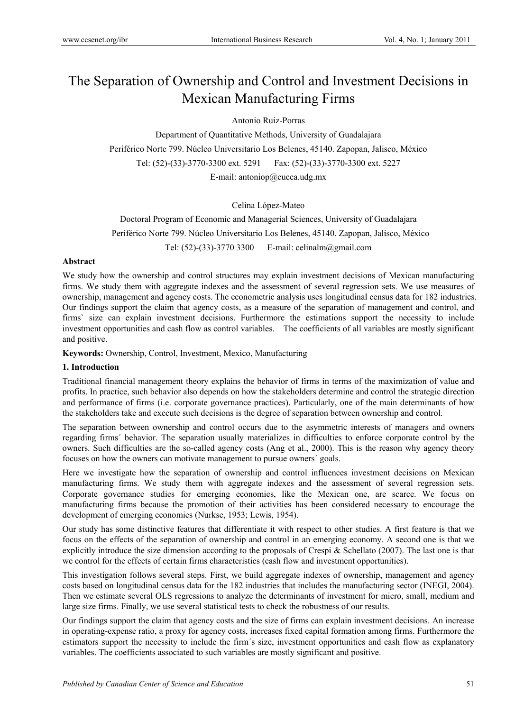# The Separation of Ownership and Control and Investment Decisions in Mexican Manufacturing Firms

Antonio Ruiz-Porras

Department of Quantitative Methods, University of Guadalajara Periférico Norte 799. Núcleo Universitario Los Belenes, 45140. Zapopan, Jalisco, México Tel: (52)-(33)-3770-3300 ext. 5291 Fax: (52)-(33)-3770-3300 ext. 5227 E-mail: antoniop@cucea.udg.mx

Celina López-Mateo

Doctoral Program of Economic and Managerial Sciences, University of Guadalajara Periférico Norte 799. Núcleo Universitario Los Belenes, 45140. Zapopan, Jalisco, México Tel: (52)-(33)-3770 3300 E-mail: celinalm@gmail.com

# **Abstract**

We study how the ownership and control structures may explain investment decisions of Mexican manufacturing firms. We study them with aggregate indexes and the assessment of several regression sets. We use measures of ownership, management and agency costs. The econometric analysis uses longitudinal census data for 182 industries. Our findings support the claim that agency costs, as a measure of the separation of management and control, and firms` size can explain investment decisions. Furthermore the estimations support the necessity to include investment opportunities and cash flow as control variables. The coefficients of all variables are mostly significant and positive.

**Keywords:** Ownership, Control, Investment, Mexico, Manufacturing

# **1. Introduction**

Traditional financial management theory explains the behavior of firms in terms of the maximization of value and profits. In practice, such behavior also depends on how the stakeholders determine and control the strategic direction and performance of firms (i.e. corporate governance practices). Particularly, one of the main determinants of how the stakeholders take and execute such decisions is the degree of separation between ownership and control.

The separation between ownership and control occurs due to the asymmetric interests of managers and owners regarding firms´ behavior. The separation usually materializes in difficulties to enforce corporate control by the owners. Such difficulties are the so-called agency costs (Ang et al., 2000). This is the reason why agency theory focuses on how the owners can motivate management to pursue owners´ goals.

Here we investigate how the separation of ownership and control influences investment decisions on Mexican manufacturing firms. We study them with aggregate indexes and the assessment of several regression sets. Corporate governance studies for emerging economies, like the Mexican one, are scarce. We focus on manufacturing firms because the promotion of their activities has been considered necessary to encourage the development of emerging economies (Nurkse, 1953; Lewis, 1954).

Our study has some distinctive features that differentiate it with respect to other studies. A first feature is that we focus on the effects of the separation of ownership and control in an emerging economy. A second one is that we explicitly introduce the size dimension according to the proposals of Crespi & Schellato (2007). The last one is that we control for the effects of certain firms characteristics (cash flow and investment opportunities).

This investigation follows several steps. First, we build aggregate indexes of ownership, management and agency costs based on longitudinal census data for the 182 industries that includes the manufacturing sector (INEGI, 2004). Then we estimate several OLS regressions to analyze the determinants of investment for micro, small, medium and large size firms. Finally, we use several statistical tests to check the robustness of our results.

Our findings support the claim that agency costs and the size of firms can explain investment decisions. An increase in operating-expense ratio, a proxy for agency costs, increases fixed capital formation among firms. Furthermore the estimators support the necessity to include the firm´s size, investment opportunities and cash flow as explanatory variables. The coefficients associated to such variables are mostly significant and positive.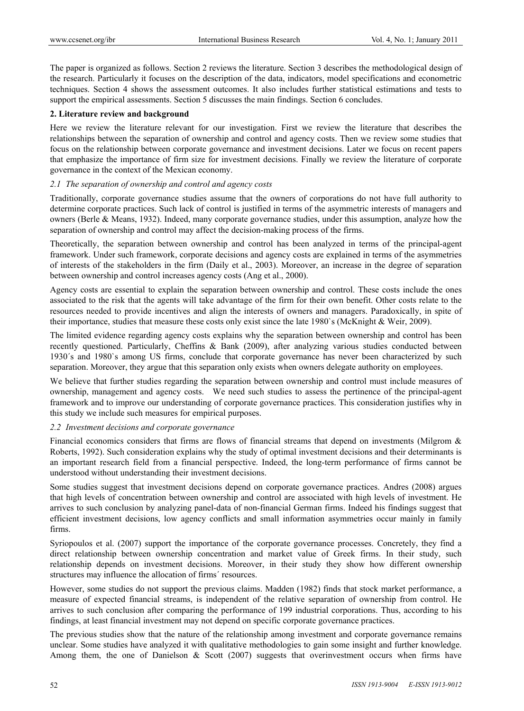The paper is organized as follows. Section 2 reviews the literature. Section 3 describes the methodological design of the research. Particularly it focuses on the description of the data, indicators, model specifications and econometric techniques. Section 4 shows the assessment outcomes. It also includes further statistical estimations and tests to support the empirical assessments. Section 5 discusses the main findings. Section 6 concludes.

#### **2. Literature review and background**

Here we review the literature relevant for our investigation. First we review the literature that describes the relationships between the separation of ownership and control and agency costs. Then we review some studies that focus on the relationship between corporate governance and investment decisions. Later we focus on recent papers that emphasize the importance of firm size for investment decisions. Finally we review the literature of corporate governance in the context of the Mexican economy.

## *2.1 The separation of ownership and control and agency costs*

Traditionally, corporate governance studies assume that the owners of corporations do not have full authority to determine corporate practices. Such lack of control is justified in terms of the asymmetric interests of managers and owners (Berle & Means, 1932). Indeed, many corporate governance studies, under this assumption, analyze how the separation of ownership and control may affect the decision-making process of the firms.

Theoretically, the separation between ownership and control has been analyzed in terms of the principal-agent framework. Under such framework, corporate decisions and agency costs are explained in terms of the asymmetries of interests of the stakeholders in the firm (Daily et al., 2003). Moreover, an increase in the degree of separation between ownership and control increases agency costs (Ang et al., 2000).

Agency costs are essential to explain the separation between ownership and control. These costs include the ones associated to the risk that the agents will take advantage of the firm for their own benefit. Other costs relate to the resources needed to provide incentives and align the interests of owners and managers. Paradoxically, in spite of their importance, studies that measure these costs only exist since the late 1980`s (McKnight & Weir, 2009).

The limited evidence regarding agency costs explains why the separation between ownership and control has been recently questioned. Particularly, Cheffins & Bank (2009), after analyzing various studies conducted between 1930´s and 1980`s among US firms, conclude that corporate governance has never been characterized by such separation. Moreover, they argue that this separation only exists when owners delegate authority on employees.

We believe that further studies regarding the separation between ownership and control must include measures of ownership, management and agency costs. We need such studies to assess the pertinence of the principal-agent framework and to improve our understanding of corporate governance practices. This consideration justifies why in this study we include such measures for empirical purposes.

## *2.2 Investment decisions and corporate governance*

Financial economics considers that firms are flows of financial streams that depend on investments (Milgrom & Roberts, 1992). Such consideration explains why the study of optimal investment decisions and their determinants is an important research field from a financial perspective. Indeed, the long-term performance of firms cannot be understood without understanding their investment decisions.

Some studies suggest that investment decisions depend on corporate governance practices. Andres (2008) argues that high levels of concentration between ownership and control are associated with high levels of investment. He arrives to such conclusion by analyzing panel-data of non-financial German firms. Indeed his findings suggest that efficient investment decisions, low agency conflicts and small information asymmetries occur mainly in family firms.

Syriopoulos et al. (2007) support the importance of the corporate governance processes. Concretely, they find a direct relationship between ownership concentration and market value of Greek firms. In their study, such relationship depends on investment decisions. Moreover, in their study they show how different ownership structures may influence the allocation of firms´ resources.

However, some studies do not support the previous claims. Madden (1982) finds that stock market performance, a measure of expected financial streams, is independent of the relative separation of ownership from control. He arrives to such conclusion after comparing the performance of 199 industrial corporations. Thus, according to his findings, at least financial investment may not depend on specific corporate governance practices.

The previous studies show that the nature of the relationship among investment and corporate governance remains unclear. Some studies have analyzed it with qualitative methodologies to gain some insight and further knowledge. Among them, the one of Danielson & Scott (2007) suggests that overinvestment occurs when firms have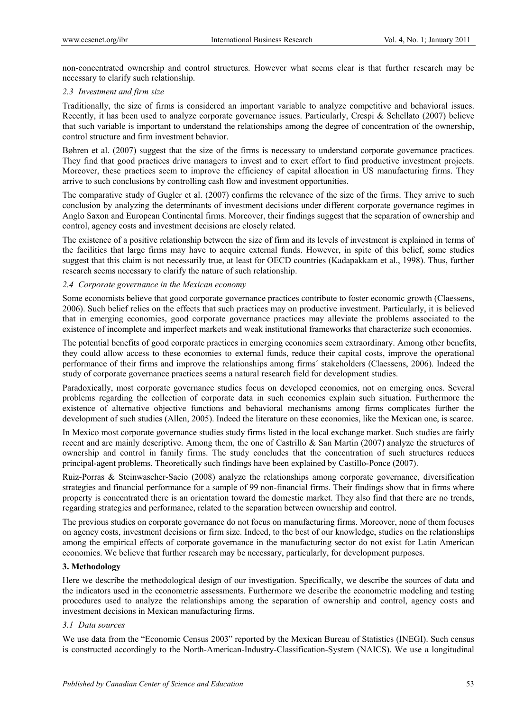non-concentrated ownership and control structures. However what seems clear is that further research may be necessary to clarify such relationship.

# *2.3 Investment and firm size*

Traditionally, the size of firms is considered an important variable to analyze competitive and behavioral issues. Recently, it has been used to analyze corporate governance issues. Particularly, Crespi & Schellato (2007) believe that such variable is important to understand the relationships among the degree of concentration of the ownership, control structure and firm investment behavior.

Bøhren et al. (2007) suggest that the size of the firms is necessary to understand corporate governance practices. They find that good practices drive managers to invest and to exert effort to find productive investment projects. Moreover, these practices seem to improve the efficiency of capital allocation in US manufacturing firms. They arrive to such conclusions by controlling cash flow and investment opportunities.

The comparative study of Gugler et al. (2007) confirms the relevance of the size of the firms. They arrive to such conclusion by analyzing the determinants of investment decisions under different corporate governance regimes in Anglo Saxon and European Continental firms. Moreover, their findings suggest that the separation of ownership and control, agency costs and investment decisions are closely related.

The existence of a positive relationship between the size of firm and its levels of investment is explained in terms of the facilities that large firms may have to acquire external funds. However, in spite of this belief, some studies suggest that this claim is not necessarily true, at least for OECD countries (Kadapakkam et al., 1998). Thus, further research seems necessary to clarify the nature of such relationship.

# *2.4 Corporate governance in the Mexican economy*

Some economists believe that good corporate governance practices contribute to foster economic growth (Claessens, 2006). Such belief relies on the effects that such practices may on productive investment. Particularly, it is believed that in emerging economies, good corporate governance practices may alleviate the problems associated to the existence of incomplete and imperfect markets and weak institutional frameworks that characterize such economies.

The potential benefits of good corporate practices in emerging economies seem extraordinary. Among other benefits, they could allow access to these economies to external funds, reduce their capital costs, improve the operational performance of their firms and improve the relationships among firms´ stakeholders (Claessens, 2006). Indeed the study of corporate governance practices seems a natural research field for development studies.

Paradoxically, most corporate governance studies focus on developed economies, not on emerging ones. Several problems regarding the collection of corporate data in such economies explain such situation. Furthermore the existence of alternative objective functions and behavioral mechanisms among firms complicates further the development of such studies (Allen, 2005). Indeed the literature on these economies, like the Mexican one, is scarce.

In Mexico most corporate governance studies study firms listed in the local exchange market. Such studies are fairly recent and are mainly descriptive. Among them, the one of Castrillo & San Martin (2007) analyze the structures of ownership and control in family firms. The study concludes that the concentration of such structures reduces principal-agent problems. Theoretically such findings have been explained by Castillo-Ponce (2007).

Ruiz-Porras & Steinwascher-Sacio (2008) analyze the relationships among corporate governance, diversification strategies and financial performance for a sample of 99 non-financial firms. Their findings show that in firms where property is concentrated there is an orientation toward the domestic market. They also find that there are no trends, regarding strategies and performance, related to the separation between ownership and control.

The previous studies on corporate governance do not focus on manufacturing firms. Moreover, none of them focuses on agency costs, investment decisions or firm size. Indeed, to the best of our knowledge, studies on the relationships among the empirical effects of corporate governance in the manufacturing sector do not exist for Latin American economies. We believe that further research may be necessary, particularly, for development purposes.

## **3. Methodology**

Here we describe the methodological design of our investigation. Specifically, we describe the sources of data and the indicators used in the econometric assessments. Furthermore we describe the econometric modeling and testing procedures used to analyze the relationships among the separation of ownership and control, agency costs and investment decisions in Mexican manufacturing firms.

## *3.1 Data sources*

We use data from the "Economic Census 2003" reported by the Mexican Bureau of Statistics (INEGI). Such census is constructed accordingly to the North-American-Industry-Classification-System (NAICS). We use a longitudinal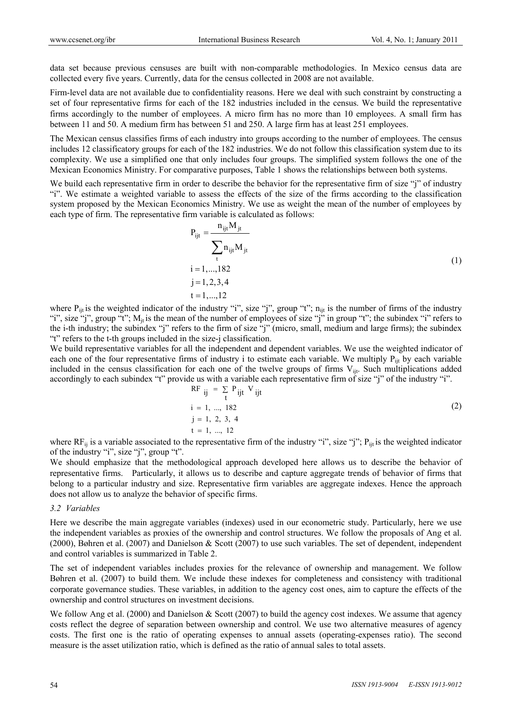data set because previous censuses are built with non-comparable methodologies. In Mexico census data are collected every five years. Currently, data for the census collected in 2008 are not available.

Firm-level data are not available due to confidentiality reasons. Here we deal with such constraint by constructing a set of four representative firms for each of the 182 industries included in the census. We build the representative firms accordingly to the number of employees. A micro firm has no more than 10 employees. A small firm has between 11 and 50. A medium firm has between 51 and 250. A large firm has at least 251 employees.

The Mexican census classifies firms of each industry into groups according to the number of employees. The census includes 12 classificatory groups for each of the 182 industries. We do not follow this classification system due to its complexity. We use a simplified one that only includes four groups. The simplified system follows the one of the Mexican Economics Ministry. For comparative purposes, Table 1 shows the relationships between both systems.

We build each representative firm in order to describe the behavior for the representative firm of size "j" of industry "i". We estimate a weighted variable to assess the effects of the size of the firms according to the classification system proposed by the Mexican Economics Ministry. We use as weight the mean of the number of employees by each type of firm. The representative firm variable is calculated as follows:

$$
P_{ijt} = \frac{n_{ijt}M_{jt}}{\sum_{t} n_{ijt}M_{jt}}
$$
  
\n
$$
i = 1,...,182
$$
  
\n
$$
j = 1,2,3,4
$$
  
\n
$$
t = 1,...,12
$$
  
\n(1)

where  $P_{ijt}$  is the weighted indicator of the industry "i", size "j", group "t";  $n_{ijt}$  is the number of firms of the industry "i", size "j", group "t";  $M_{it}$  is the mean of the number of employees of size "j" in group "t"; the subindex "i" refers to the i-th industry; the subindex "j" refers to the firm of size "j" (micro, small, medium and large firms); the subindex "t" refers to the t-th groups included in the size-j classification.

We build representative variables for all the independent and dependent variables. We use the weighted indicator of each one of the four representative firms of industry i to estimate each variable. We multiply  $P_{ijt}$  by each variable included in the census classification for each one of the twelve groups of firms Vijt. Such multiplications added accordingly to each subindex "t" provide us with a variable each representative firm of size "j" of the industry "i".

$$
RF_{ij} = \sum_{t} P_{ijt} V_{ijt}
$$
  
\n $i = 1, ..., 182$   
\n $j = 1, 2, 3, 4$   
\n $t = 1, ..., 12$  (2)

where  $RF_{ii}$  is a variable associated to the representative firm of the industry "i", size "j";  $P_{ii}$  is the weighted indicator of the industry "i", size "j", group "t".

We should emphasize that the methodological approach developed here allows us to describe the behavior of representative firms. Particularly, it allows us to describe and capture aggregate trends of behavior of firms that belong to a particular industry and size. Representative firm variables are aggregate indexes. Hence the approach does not allow us to analyze the behavior of specific firms.

#### *3.2 Variables*

Here we describe the main aggregate variables (indexes) used in our econometric study. Particularly, here we use the independent variables as proxies of the ownership and control structures. We follow the proposals of Ang et al. (2000), Bøhren et al. (2007) and Danielson & Scott (2007) to use such variables. The set of dependent, independent and control variables is summarized in Table 2.

The set of independent variables includes proxies for the relevance of ownership and management. We follow Bøhren et al. (2007) to build them. We include these indexes for completeness and consistency with traditional corporate governance studies. These variables, in addition to the agency cost ones, aim to capture the effects of the ownership and control structures on investment decisions.

We follow Ang et al. (2000) and Danielson & Scott (2007) to build the agency cost indexes. We assume that agency costs reflect the degree of separation between ownership and control. We use two alternative measures of agency costs. The first one is the ratio of operating expenses to annual assets (operating-expenses ratio). The second measure is the asset utilization ratio, which is defined as the ratio of annual sales to total assets.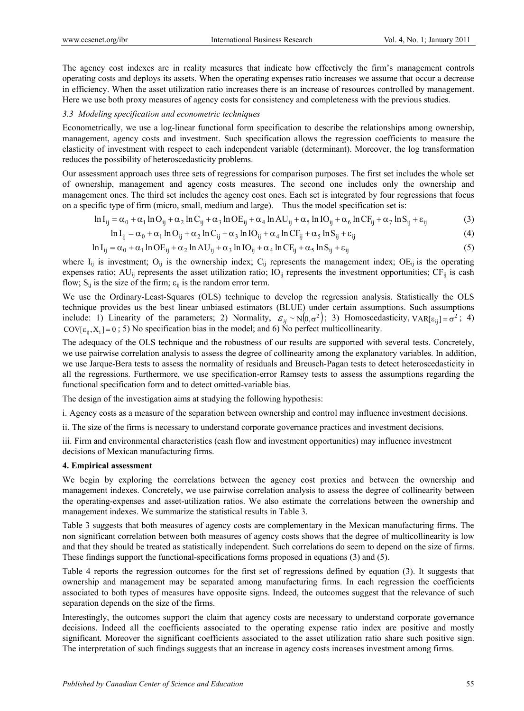The agency cost indexes are in reality measures that indicate how effectively the firm's management controls operating costs and deploys its assets. When the operating expenses ratio increases we assume that occur a decrease in efficiency. When the asset utilization ratio increases there is an increase of resources controlled by management. Here we use both proxy measures of agency costs for consistency and completeness with the previous studies.

#### *3.3 Modeling specification and econometric techniques*

Econometrically, we use a log-linear functional form specification to describe the relationships among ownership, management, agency costs and investment. Such specification allows the regression coefficients to measure the elasticity of investment with respect to each independent variable (determinant). Moreover, the log transformation reduces the possibility of heteroscedasticity problems.

Our assessment approach uses three sets of regressions for comparison purposes. The first set includes the whole set of ownership, management and agency costs measures. The second one includes only the ownership and management ones. The third set includes the agency cost ones. Each set is integrated by four regressions that focus on a specific type of firm (micro, small, medium and large). Thus the model specification set is:

$$
\ln I_{ij} = \alpha_0 + \alpha_1 \ln O_{ij} + \alpha_2 \ln C_{ij} + \alpha_3 \ln O E_{ij} + \alpha_4 \ln AU_{ij} + \alpha_5 \ln IO_{ij} + \alpha_6 \ln CF_{ij} + \alpha_7 \ln S_{ij} + \epsilon_{ij}
$$
 (3)

$$
\ln I_{ij} = \alpha_0 + \alpha_1 \ln O_{ij} + \alpha_2 \ln C_{ij} + \alpha_3 \ln IO_{ij} + \alpha_4 \ln CF_{ij} + \alpha_5 \ln S_{ij} + \epsilon_{ij}
$$
\n
$$
\tag{4}
$$

$$
\ln I_{ij} = \alpha_0 + \alpha_1 \ln O E_{ij} + \alpha_2 \ln AU_{ij} + \alpha_3 \ln IO_{ij} + \alpha_4 \ln CF_{ij} + \alpha_5 \ln S_{ij} + \epsilon_{ij}
$$
\n(5)

where  $I_{ii}$  is investment;  $O_{ii}$  is the ownership index;  $C_{ii}$  represents the management index;  $OE_{ii}$  is the operating expenses ratio;  $AU_{ii}$  represents the asset utilization ratio;  $IO_{ii}$  represents the investment opportunities;  $CF_{ii}$  is cash flow;  $S_{ii}$  is the size of the firm;  $\varepsilon_{ii}$  is the random error term.

We use the Ordinary-Least-Squares (OLS) technique to develop the regression analysis. Statistically the OLS technique provides us the best linear unbiased estimators (BLUE) under certain assumptions. Such assumptions include: 1) Linearity of the parameters; 2) Normality,  $\varepsilon_{ij} \sim N(0, \sigma^2)$ ; 3) Homoscedasticity, VAR[ $\varepsilon_{ij}$ ] =  $\sigma^2$ ; 4)  $\text{COV}[\epsilon_{ii}, X_i] = 0$ ; 5) No specification bias in the model; and 6) No perfect multicollinearity.

The adequacy of the OLS technique and the robustness of our results are supported with several tests. Concretely, we use pairwise correlation analysis to assess the degree of collinearity among the explanatory variables. In addition, we use Jarque-Bera tests to assess the normality of residuals and Breusch-Pagan tests to detect heteroscedasticity in all the regressions. Furthermore, we use specification-error Ramsey tests to assess the assumptions regarding the functional specification form and to detect omitted-variable bias.

The design of the investigation aims at studying the following hypothesis:

i. Agency costs as a measure of the separation between ownership and control may influence investment decisions.

ii. The size of the firms is necessary to understand corporate governance practices and investment decisions.

iii. Firm and environmental characteristics (cash flow and investment opportunities) may influence investment decisions of Mexican manufacturing firms.

## **4. Empirical assessment**

We begin by exploring the correlations between the agency cost proxies and between the ownership and management indexes. Concretely, we use pairwise correlation analysis to assess the degree of collinearity between the operating-expenses and asset-utilization ratios. We also estimate the correlations between the ownership and management indexes. We summarize the statistical results in Table 3.

Table 3 suggests that both measures of agency costs are complementary in the Mexican manufacturing firms. The non significant correlation between both measures of agency costs shows that the degree of multicollinearity is low and that they should be treated as statistically independent. Such correlations do seem to depend on the size of firms. These findings support the functional-specifications forms proposed in equations (3) and (5).

Table 4 reports the regression outcomes for the first set of regressions defined by equation (3). It suggests that ownership and management may be separated among manufacturing firms. In each regression the coefficients associated to both types of measures have opposite signs. Indeed, the outcomes suggest that the relevance of such separation depends on the size of the firms.

Interestingly, the outcomes support the claim that agency costs are necessary to understand corporate governance decisions. Indeed all the coefficients associated to the operating expense ratio index are positive and mostly significant. Moreover the significant coefficients associated to the asset utilization ratio share such positive sign. The interpretation of such findings suggests that an increase in agency costs increases investment among firms.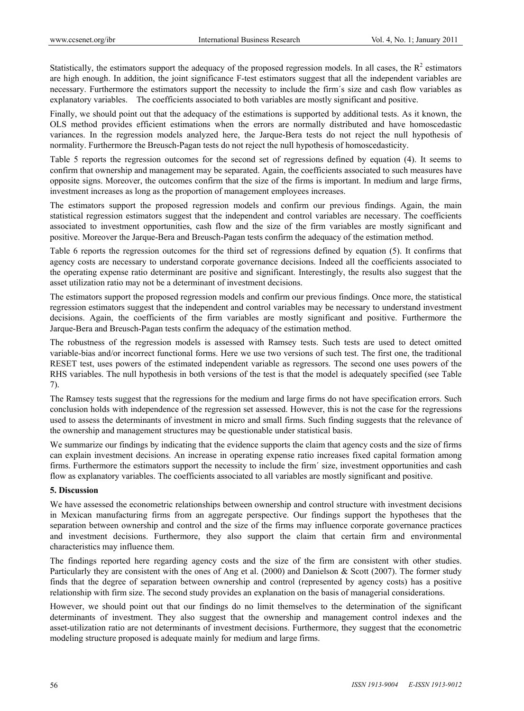Statistically, the estimators support the adequacy of the proposed regression models. In all cases, the  $R<sup>2</sup>$  estimators are high enough. In addition, the joint significance F-test estimators suggest that all the independent variables are necessary. Furthermore the estimators support the necessity to include the firm´s size and cash flow variables as explanatory variables. The coefficients associated to both variables are mostly significant and positive.

Finally, we should point out that the adequacy of the estimations is supported by additional tests. As it known, the OLS method provides efficient estimations when the errors are normally distributed and have homoscedastic variances. In the regression models analyzed here, the Jarque-Bera tests do not reject the null hypothesis of normality. Furthermore the Breusch-Pagan tests do not reject the null hypothesis of homoscedasticity.

Table 5 reports the regression outcomes for the second set of regressions defined by equation (4). It seems to confirm that ownership and management may be separated. Again, the coefficients associated to such measures have opposite signs. Moreover, the outcomes confirm that the size of the firms is important. In medium and large firms, investment increases as long as the proportion of management employees increases.

The estimators support the proposed regression models and confirm our previous findings. Again, the main statistical regression estimators suggest that the independent and control variables are necessary. The coefficients associated to investment opportunities, cash flow and the size of the firm variables are mostly significant and positive. Moreover the Jarque-Bera and Breusch-Pagan tests confirm the adequacy of the estimation method.

Table 6 reports the regression outcomes for the third set of regressions defined by equation (5). It confirms that agency costs are necessary to understand corporate governance decisions. Indeed all the coefficients associated to the operating expense ratio determinant are positive and significant. Interestingly, the results also suggest that the asset utilization ratio may not be a determinant of investment decisions.

The estimators support the proposed regression models and confirm our previous findings. Once more, the statistical regression estimators suggest that the independent and control variables may be necessary to understand investment decisions. Again, the coefficients of the firm variables are mostly significant and positive. Furthermore the Jarque-Bera and Breusch-Pagan tests confirm the adequacy of the estimation method.

The robustness of the regression models is assessed with Ramsey tests. Such tests are used to detect omitted variable-bias and/or incorrect functional forms. Here we use two versions of such test. The first one, the traditional RESET test, uses powers of the estimated independent variable as regressors. The second one uses powers of the RHS variables. The null hypothesis in both versions of the test is that the model is adequately specified (see Table 7).

The Ramsey tests suggest that the regressions for the medium and large firms do not have specification errors. Such conclusion holds with independence of the regression set assessed. However, this is not the case for the regressions used to assess the determinants of investment in micro and small firms. Such finding suggests that the relevance of the ownership and management structures may be questionable under statistical basis.

We summarize our findings by indicating that the evidence supports the claim that agency costs and the size of firms can explain investment decisions. An increase in operating expense ratio increases fixed capital formation among firms. Furthermore the estimators support the necessity to include the firm´ size, investment opportunities and cash flow as explanatory variables. The coefficients associated to all variables are mostly significant and positive.

## **5. Discussion**

We have assessed the econometric relationships between ownership and control structure with investment decisions in Mexican manufacturing firms from an aggregate perspective. Our findings support the hypotheses that the separation between ownership and control and the size of the firms may influence corporate governance practices and investment decisions. Furthermore, they also support the claim that certain firm and environmental characteristics may influence them.

The findings reported here regarding agency costs and the size of the firm are consistent with other studies. Particularly they are consistent with the ones of Ang et al. (2000) and Danielson & Scott (2007). The former study finds that the degree of separation between ownership and control (represented by agency costs) has a positive relationship with firm size. The second study provides an explanation on the basis of managerial considerations.

However, we should point out that our findings do no limit themselves to the determination of the significant determinants of investment. They also suggest that the ownership and management control indexes and the asset-utilization ratio are not determinants of investment decisions. Furthermore, they suggest that the econometric modeling structure proposed is adequate mainly for medium and large firms.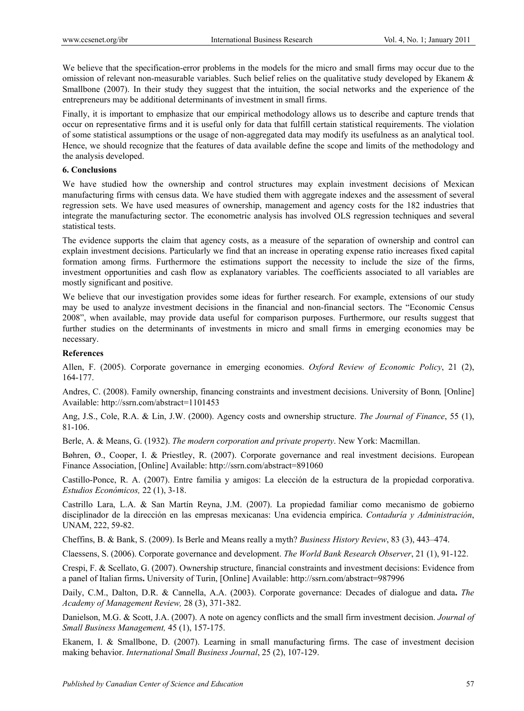We believe that the specification-error problems in the models for the micro and small firms may occur due to the omission of relevant non-measurable variables. Such belief relies on the qualitative study developed by Ekanem & Smallbone (2007). In their study they suggest that the intuition, the social networks and the experience of the entrepreneurs may be additional determinants of investment in small firms.

Finally, it is important to emphasize that our empirical methodology allows us to describe and capture trends that occur on representative firms and it is useful only for data that fulfill certain statistical requirements. The violation of some statistical assumptions or the usage of non-aggregated data may modify its usefulness as an analytical tool. Hence, we should recognize that the features of data available define the scope and limits of the methodology and the analysis developed.

## **6. Conclusions**

We have studied how the ownership and control structures may explain investment decisions of Mexican manufacturing firms with census data. We have studied them with aggregate indexes and the assessment of several regression sets. We have used measures of ownership, management and agency costs for the 182 industries that integrate the manufacturing sector. The econometric analysis has involved OLS regression techniques and several statistical tests.

The evidence supports the claim that agency costs, as a measure of the separation of ownership and control can explain investment decisions. Particularly we find that an increase in operating expense ratio increases fixed capital formation among firms. Furthermore the estimations support the necessity to include the size of the firms, investment opportunities and cash flow as explanatory variables. The coefficients associated to all variables are mostly significant and positive.

We believe that our investigation provides some ideas for further research. For example, extensions of our study may be used to analyze investment decisions in the financial and non-financial sectors. The "Economic Census 2008", when available, may provide data useful for comparison purposes. Furthermore, our results suggest that further studies on the determinants of investments in micro and small firms in emerging economies may be necessary.

## **References**

Allen, F. (2005). Corporate governance in emerging economies. *Oxford Review of Economic Policy*, 21 (2), 164-177.

Andres, C. (2008). Family ownership, financing constraints and investment decisions. University of Bonn*,* [Online] Available: http://ssrn.com/abstract=1101453

Ang, J.S., Cole, R.A. & Lin, J.W. (2000). Agency costs and ownership structure. *The Journal of Finance*, 55 (1), 81-106.

Berle, A. & Means, G. (1932). *The modern corporation and private property*. New York: Macmillan.

Bøhren, Ø., Cooper, I. & Priestley, R. (2007). Corporate governance and real investment decisions. European Finance Association, [Online] Available: http://ssrn.com/abstract=891060

Castillo-Ponce, R. A. (2007). Entre familia y amigos: La elección de la estructura de la propiedad corporativa. *Estudios Económicos,* 22 (1), 3-18.

Castrillo Lara, L.A. & San Martín Reyna, J.M. (2007). La propiedad familiar como mecanismo de gobierno disciplinador de la dirección en las empresas mexicanas: Una evidencia empírica. *Contaduría y Administración*, UNAM, 222, 59-82.

Cheffins, B. & Bank, S. (2009). Is Berle and Means really a myth? *Business History Review*, 83 (3), 443–474.

Claessens, S. (2006). Corporate governance and development. *The World Bank Research Observer*, 21 (1), 91-122.

Crespi, F. & Scellato, G. (2007). Ownership structure, financial constraints and investment decisions: Evidence from a panel of Italian firms**.** University of Turin, [Online] Available: http://ssrn.com/abstract=987996

Daily, C.M., Dalton, D.R. & Cannella, A.A. (2003). Corporate governance: Decades of dialogue and data**.** *The Academy of Management Review,* 28 (3), 371-382.

Danielson, M.G. & Scott, J.A. (2007). A note on agency conflicts and the small firm investment decision. *Journal of Small Business Management,* 45 (1), 157-175.

Ekanem, I. & Smallbone, D. (2007). Learning in small manufacturing firms. The case of investment decision making behavior. *International Small Business Journal*, 25 (2), 107-129.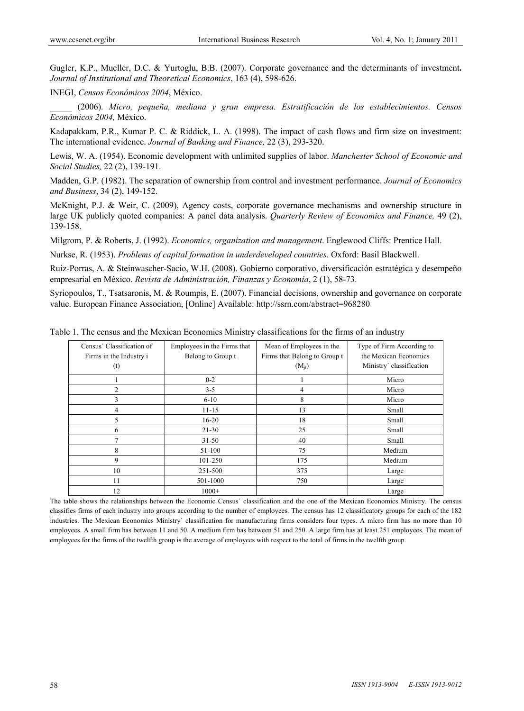Gugler, K.P., Mueller, D.C. & Yurtoglu, B.B. (2007). Corporate governance and the determinants of investment**.**  *Journal of Institutional and Theoretical Economics*, 163 (4), 598-626.

INEGI, *Censos Económicos 2004*, México.

\_\_\_\_\_ (2006). *Micro, pequeña, mediana y gran empresa. Estratificación de los establecimientos. Censos Económicos 2004,* México.

Kadapakkam, P.R., Kumar P. C. & Riddick, L. A. (1998). The impact of cash flows and firm size on investment: The international evidence. *Journal of Banking and Finance,* 22 (3), 293-320.

Lewis, W. A. (1954). Economic development with unlimited supplies of labor. *Manchester School of Economic and Social Studies,* 22 (2), 139-191.

Madden, G.P. (1982). The separation of ownership from control and investment performance. *Journal of Economics and Business*, 34 (2), 149-152.

McKnight, P.J. & Weir, C. (2009), Agency costs, corporate governance mechanisms and ownership structure in large UK publicly quoted companies: A panel data analysis. *Quarterly Review of Economics and Finance,* 49 (2), 139-158.

Milgrom, P. & Roberts, J. (1992). *Economics, organization and management*. Englewood Cliffs: Prentice Hall.

Nurkse, R. (1953). *Problems of capital formation in underdeveloped countries*. Oxford: Basil Blackwell.

Ruiz-Porras, A. & Steinwascher-Sacio, W.H. (2008). Gobierno corporativo, diversificación estratégica y desempeño empresarial en México. *Revista de Administración, Finanzas y Economía*, 2 (1), 58-73.

Syriopoulos, T., Tsatsaronis, M. & Roumpis, E. (2007). Financial decisions, ownership and governance on corporate value. European Finance Association, [Online] Available: http://ssrn.com/abstract=968280

|  |  |  | Table 1. The census and the Mexican Economics Ministry classifications for the firms of an industry |  |  |
|--|--|--|-----------------------------------------------------------------------------------------------------|--|--|
|  |  |  |                                                                                                     |  |  |

| Census' Classification of | Employees in the Firms that | Mean of Employees in the     | Type of Firm According to |
|---------------------------|-----------------------------|------------------------------|---------------------------|
| Firms in the Industry i   | Belong to Group t           | Firms that Belong to Group t | the Mexican Economics     |
| (t)                       |                             | $(M_{it})$                   | Ministry' classification  |
|                           | $0 - 2$                     |                              | Micro                     |
| $\overline{2}$            | $3 - 5$                     | 4                            | Micro                     |
| $\mathcal{F}$             | $6 - 10$                    | 8                            | Micro                     |
| 4                         | $11 - 15$                   | 13                           | Small                     |
| 5                         | $16 - 20$                   | 18                           | Small                     |
| 6                         | $21 - 30$                   | 25                           | Small                     |
|                           | $31 - 50$                   | 40                           | Small                     |
| 8                         | 51-100                      | 75                           | Medium                    |
| 9                         | 101-250                     | 175                          | Medium                    |
| 10                        | 251-500                     | 375                          | Large                     |
| 11                        | 501-1000                    | 750                          | Large                     |
| 12                        | $1000+$                     |                              | Large                     |

The table shows the relationships between the Economic Census´ classification and the one of the Mexican Economics Ministry. The census classifies firms of each industry into groups according to the number of employees. The census has 12 classificatory groups for each of the 182 industries. The Mexican Economics Ministry´ classification for manufacturing firms considers four types. A micro firm has no more than 10 employees. A small firm has between 11 and 50. A medium firm has between 51 and 250. A large firm has at least 251 employees. The mean of employees for the firms of the twelfth group is the average of employees with respect to the total of firms in the twelfth group.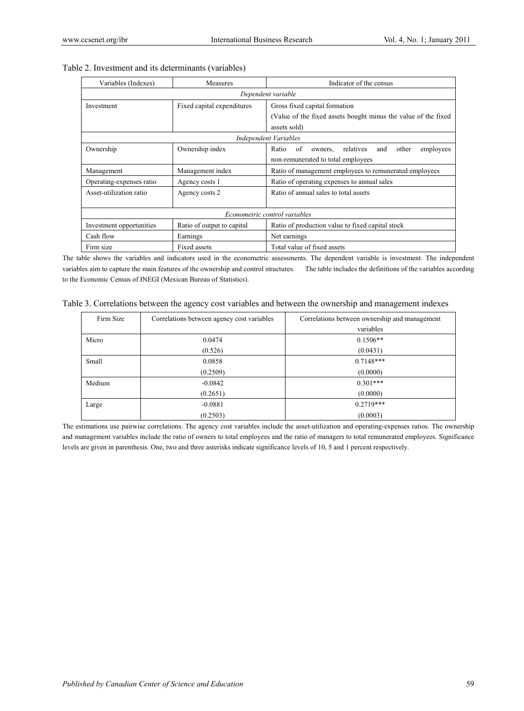| Variables (Indexes)      | Measures                                                    | Indicator of the census                                          |  |  |  |
|--------------------------|-------------------------------------------------------------|------------------------------------------------------------------|--|--|--|
|                          | Dependent variable                                          |                                                                  |  |  |  |
| Investment               | Gross fixed capital formation<br>Fixed capital expenditures |                                                                  |  |  |  |
|                          |                                                             | (Value of the fixed assets bought minus the value of the fixed   |  |  |  |
|                          |                                                             | assets sold)                                                     |  |  |  |
| Independent Variables    |                                                             |                                                                  |  |  |  |
| Ownership                | Ownership index                                             | Ratio<br>of<br>relatives<br>other<br>employees<br>and<br>owners. |  |  |  |
|                          |                                                             | non-remunerated to total employees                               |  |  |  |
| Management               | Management index                                            | Ratio of management employees to remunerated employees           |  |  |  |
| Operating-expenses ratio | Agency costs 1                                              | Ratio of operating expenses to annual sales                      |  |  |  |
| Asset-utilization ratio  | Agency costs 2                                              | Ratio of annual sales to total assets                            |  |  |  |
|                          |                                                             |                                                                  |  |  |  |
|                          |                                                             | Econometric control variables                                    |  |  |  |
| Investment opportunities | Ratio of output to capital                                  | Ratio of production value to fixed capital stock                 |  |  |  |
| Cash flow                | Earnings                                                    | Net earnings                                                     |  |  |  |
| Firm size                | Fixed assets                                                | Total value of fixed assets                                      |  |  |  |

The table shows the variables and indicators used in the econometric assessments. The dependent variable is investment. The independent variables aim to capture the main features of the ownership and control structures. The table includes the definitions of the variables according to the Economic Census of INEGI (Mexican Bureau of Statistics).

|  |  |  |  |  |  |  | Table 3. Correlations between the agency cost variables and between the ownership and management indexes |
|--|--|--|--|--|--|--|----------------------------------------------------------------------------------------------------------|
|--|--|--|--|--|--|--|----------------------------------------------------------------------------------------------------------|

| Firm Size | Correlations between agency cost variables | Correlations between ownership and management |
|-----------|--------------------------------------------|-----------------------------------------------|
|           |                                            | variables                                     |
| Micro     | 0.0474                                     | $0.1506**$                                    |
|           | (0.526)                                    | (0.0431)                                      |
| Small     | 0.0858                                     | $0.7148***$                                   |
|           | (0.2509)                                   | (0.0000)                                      |
| Medium    | $-0.0842$                                  | $0.301***$                                    |
|           | (0.2651)                                   | (0.0000)                                      |
| Large     | $-0.0881$                                  | $0.2719***$                                   |
|           | (0.2503)                                   | (0.0003)                                      |

The estimations use pairwise correlations. The agency cost variables include the asset-utilization and operating-expenses ratios. The ownership and management variables include the ratio of owners to total employees and the ratio of managers to total remunerated employees. Significance levels are given in parenthesis. One, two and three asterisks indicate significance levels of 10, 5 and 1 percent respectively.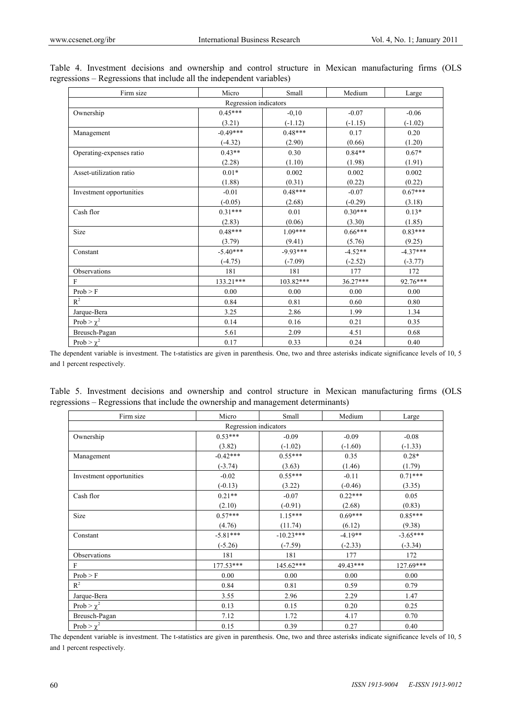| Firm size                | Micro                 | Small      | Medium     | Large      |
|--------------------------|-----------------------|------------|------------|------------|
|                          | Regression indicators |            |            |            |
| Ownership                | $0.45***$             | $-0,10$    | $-0.07$    | $-0.06$    |
|                          | (3.21)                | $(-1.12)$  | $(-1.15)$  | $(-1.02)$  |
| Management               | $-0.49***$            | $0.48***$  | 0.17       | 0.20       |
|                          | $(-4.32)$             | (2.90)     | (0.66)     | (1.20)     |
| Operating-expenses ratio | $0.43**$              | 0.30       | $0.84**$   | $0.67*$    |
|                          | (2.28)                | (1.10)     | (1.98)     | (1.91)     |
| Asset-utilization ratio  | $0.01*$               | 0.002      | 0.002      | 0.002      |
|                          | (1.88)                | (0.31)     | (0.22)     | (0.22)     |
| Investment opportunities | $-0.01$               | $0.48***$  | $-0.07$    | $0.67***$  |
|                          | $(-0.05)$             | (2.68)     | $(-0.29)$  | (3.18)     |
| Cash flor                | $0.31***$             | 0.01       | $0.30***$  | $0.13*$    |
|                          | (2.83)                | (0.06)     | (3.30)     | (1.85)     |
| Size                     | $0.48***$             | $1.09***$  | $0.66***$  | $0.83***$  |
|                          | (3.79)                | (9.41)     | (5.76)     | (9.25)     |
| Constant                 | $-5.40***$            | $-9.93***$ | $-4.52**$  | $-4.37***$ |
|                          | $(-4.75)$             | $(-7.09)$  | $(-2.52)$  | $(-3.77)$  |
| Observations             | 181                   | 181        | 177        | 172        |
| F                        | 133.21***             | 103.82***  | $36.27***$ | 92.76***   |
| Prob > F                 | 0.00                  | 0.00       | 0.00       | 0.00       |
| $R^2$                    | 0.84                  | 0.81       | 0.60       | 0.80       |
| Jarque-Bera              | 3.25                  | 2.86       | 1.99       | 1.34       |
| $Prob > \chi^2$          | 0.14                  | 0.16       | 0.21       | 0.35       |
| Breusch-Pagan            | 5.61                  | 2.09       | 4.51       | 0.68       |
| Prob $> \chi^2$          | 0.17                  | 0.33       | 0.24       | 0.40       |

Table 4. Investment decisions and ownership and control structure in Mexican manufacturing firms (OLS regressions – Regressions that include all the independent variables)

The dependent variable is investment. The t-statistics are given in parenthesis. One, two and three asterisks indicate significance levels of 10, 5 and 1 percent respectively.

|                                                                                   |  |  |  |  |  |  |  |  |  | Table 5. Investment decisions and ownership and control structure in Mexican manufacturing firms (OLS |  |  |
|-----------------------------------------------------------------------------------|--|--|--|--|--|--|--|--|--|-------------------------------------------------------------------------------------------------------|--|--|
| regressions – Regressions that include the ownership and management determinants) |  |  |  |  |  |  |  |  |  |                                                                                                       |  |  |

| Firm size                | Micro                 | Small       | Medium    | Large      |
|--------------------------|-----------------------|-------------|-----------|------------|
|                          | Regression indicators |             |           |            |
| Ownership                | $0.53***$             | $-0.09$     | $-0.09$   | $-0.08$    |
|                          | (3.82)                | $(-1.02)$   | $(-1.60)$ | $(-1.33)$  |
| Management               | $-0.42***$            | $0.55***$   | 0.35      | $0.28*$    |
|                          | $(-3.74)$             | (3.63)      | (1.46)    | (1.79)     |
| Investment opportunities | $-0.02$               | $0.55***$   | $-0.11$   | $0.71***$  |
|                          | $(-0.13)$             | (3.22)      | $(-0.46)$ | (3.35)     |
| Cash flor                | $0.21**$              | $-0.07$     | $0.22***$ | 0.05       |
|                          | (2.10)                | $(-0.91)$   | (2.68)    | (0.83)     |
| Size                     | $0.57***$             | $1.15***$   | $0.69***$ | $0.85***$  |
|                          | (4.76)                | (11.74)     | (6.12)    | (9.38)     |
| Constant                 | $-5.81***$            | $-10.23***$ | $-4.19**$ | $-3.65***$ |
|                          | $(-5.26)$             | $(-7.59)$   | $(-2.33)$ | $(-3.34)$  |
| Observations             | 181                   | 181         | 177       | 172        |
| F                        | $177.53***$           | $145.62***$ | 49.43***  | 127.69***  |
| Prob > F                 | 0.00                  | 0.00        | 0.00      | 0.00       |
| $R^2$                    | 0.84                  | 0.81        | 0.59      | 0.79       |
| Jarque-Bera              | 3.55                  | 2.96        | 2.29      | 1.47       |
| Prob > $\chi^2$          | 0.13                  | 0.15        | 0.20      | 0.25       |
| Breusch-Pagan            | 7.12                  | 1.72        | 4.17      | 0.70       |
| Prob $> \chi^2$          | 0.15                  | 0.39        | 0.27      | 0.40       |

The dependent variable is investment. The t-statistics are given in parenthesis. One, two and three asterisks indicate significance levels of 10, 5 and 1 percent respectively.